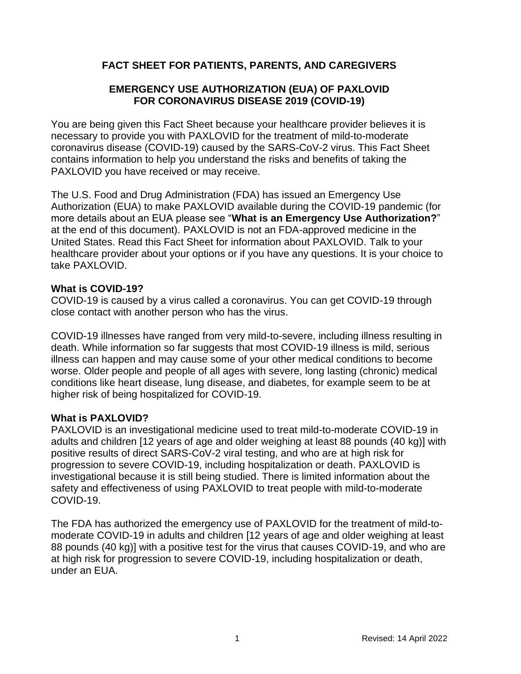# **FACT SHEET FOR PATIENTS, PARENTS, AND CAREGIVERS**

# **EMERGENCY USE AUTHORIZATION (EUA) OF PAXLOVID FOR CORONAVIRUS DISEASE 2019 (COVID-19)**

You are being given this Fact Sheet because your healthcare provider believes it is necessary to provide you with PAXLOVID for the treatment of mild-to-moderate coronavirus disease (COVID-19) caused by the SARS-CoV-2 virus. This Fact Sheet contains information to help you understand the risks and benefits of taking the PAXLOVID you have received or may receive.

The U.S. Food and Drug Administration (FDA) has issued an Emergency Use Authorization (EUA) to make PAXLOVID available during the COVID-19 pandemic (for more details about an EUA please see "**What is an Emergency Use Authorization?**" at the end of this document). PAXLOVID is not an FDA-approved medicine in the United States. Read this Fact Sheet for information about PAXLOVID. Talk to your healthcare provider about your options or if you have any questions. It is your choice to take PAXLOVID.

#### **What is COVID-19?**

COVID-19 is caused by a virus called a coronavirus. You can get COVID-19 through close contact with another person who has the virus.

COVID-19 illnesses have ranged from very mild-to-severe, including illness resulting in death. While information so far suggests that most COVID-19 illness is mild, serious illness can happen and may cause some of your other medical conditions to become worse. Older people and people of all ages with severe, long lasting (chronic) medical conditions like heart disease, lung disease, and diabetes, for example seem to be at higher risk of being hospitalized for COVID-19.

#### **What is PAXLOVID?**

PAXLOVID is an investigational medicine used to treat mild-to-moderate COVID-19 in adults and children [12 years of age and older weighing at least 88 pounds (40 kg)] with positive results of direct SARS-CoV-2 viral testing, and who are at high risk for progression to severe COVID-19, including hospitalization or death. PAXLOVID is investigational because it is still being studied. There is limited information about the safety and effectiveness of using PAXLOVID to treat people with mild-to-moderate COVID-19.

The FDA has authorized the emergency use of PAXLOVID for the treatment of mild-tomoderate COVID-19 in adults and children [12 years of age and older weighing at least 88 pounds (40 kg)] with a positive test for the virus that causes COVID-19, and who are at high risk for progression to severe COVID-19, including hospitalization or death, under an EUA.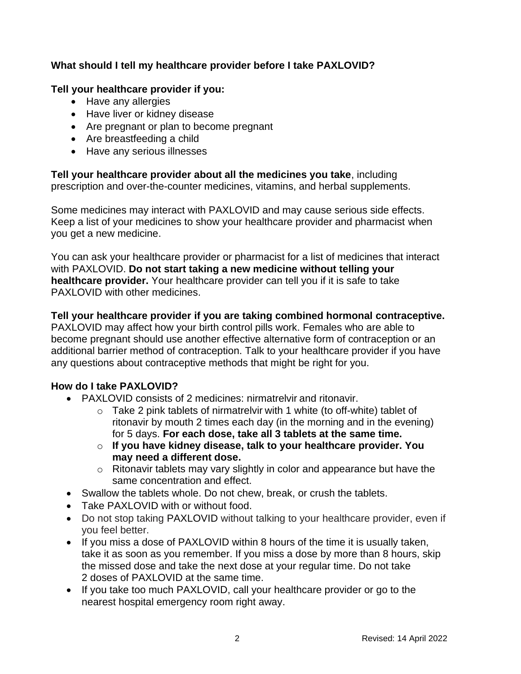# **What should I tell my healthcare provider before I take PAXLOVID?**

### **Tell your healthcare provider if you:**

- Have any allergies
- Have liver or kidney disease
- Are pregnant or plan to become pregnant
- Are breastfeeding a child
- Have any serious illnesses

**Tell your healthcare provider about all the medicines you take**, including prescription and over-the-counter medicines, vitamins, and herbal supplements.

Some medicines may interact with PAXLOVID and may cause serious side effects. Keep a list of your medicines to show your healthcare provider and pharmacist when you get a new medicine.

You can ask your healthcare provider or pharmacist for a list of medicines that interact with PAXLOVID. **Do not start taking a new medicine without telling your healthcare provider.** Your healthcare provider can tell you if it is safe to take PAXLOVID with other medicines.

**Tell your healthcare provider if you are taking combined hormonal contraceptive.** PAXLOVID may affect how your birth control pills work. Females who are able to become pregnant should use another effective alternative form of contraception or an additional barrier method of contraception. Talk to your healthcare provider if you have any questions about contraceptive methods that might be right for you.

# **How do I take PAXLOVID?**

- PAXLOVID consists of 2 medicines: nirmatrelvir and ritonavir.
	- $\circ$  Take 2 pink tablets of nirmatrelvir with 1 white (to off-white) tablet of ritonavir by mouth 2 times each day (in the morning and in the evening) for 5 days. **For each dose, take all 3 tablets at the same time.**
	- o **If you have kidney disease, talk to your healthcare provider. You may need a different dose.**
	- o Ritonavir tablets may vary slightly in color and appearance but have the same concentration and effect.
- Swallow the tablets whole. Do not chew, break, or crush the tablets.
- Take PAXLOVID with or without food.
- Do not stop taking PAXLOVID without talking to your healthcare provider, even if you feel better.
- If you miss a dose of PAXLOVID within 8 hours of the time it is usually taken, take it as soon as you remember. If you miss a dose by more than 8 hours, skip the missed dose and take the next dose at your regular time. Do not take 2 doses of PAXLOVID at the same time.
- If you take too much PAXLOVID, call your healthcare provider or go to the nearest hospital emergency room right away.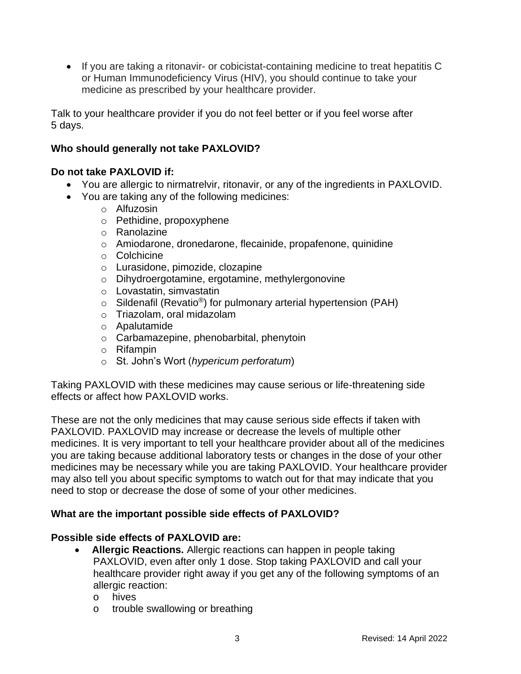• If you are taking a ritonavir- or cobicistat-containing medicine to treat hepatitis C or Human Immunodeficiency Virus (HIV), you should continue to take your medicine as prescribed by your healthcare provider.

Talk to your healthcare provider if you do not feel better or if you feel worse after 5 days.

### **Who should generally not take PAXLOVID?**

#### **Do not take PAXLOVID if:**

- You are allergic to nirmatrelvir, ritonavir, or any of the ingredients in PAXLOVID.
- You are taking any of the following medicines:
	- o Alfuzosin
	- o Pethidine, propoxyphene
	- o Ranolazine
	- o Amiodarone, dronedarone, flecainide, propafenone, quinidine
	- o Colchicine
	- o Lurasidone, pimozide, clozapine
	- o Dihydroergotamine, ergotamine, methylergonovine
	- o Lovastatin, simvastatin
	- $\circ$  Sildenafil (Revatio<sup>®</sup>) for pulmonary arterial hypertension (PAH)
	- o Triazolam, oral midazolam
	- o Apalutamide
	- o Carbamazepine, phenobarbital, phenytoin
	- o Rifampin
	- o St. John's Wort (*hypericum perforatum*)

Taking PAXLOVID with these medicines may cause serious or life-threatening side effects or affect how PAXLOVID works.

These are not the only medicines that may cause serious side effects if taken with PAXLOVID. PAXLOVID may increase or decrease the levels of multiple other medicines. It is very important to tell your healthcare provider about all of the medicines you are taking because additional laboratory tests or changes in the dose of your other medicines may be necessary while you are taking PAXLOVID. Your healthcare provider may also tell you about specific symptoms to watch out for that may indicate that you need to stop or decrease the dose of some of your other medicines.

# **What are the important possible side effects of PAXLOVID?**

# **Possible side effects of PAXLOVID are:**

- **Allergic Reactions.** Allergic reactions can happen in people taking PAXLOVID, even after only 1 dose. Stop taking PAXLOVID and call your healthcare provider right away if you get any of the following symptoms of an allergic reaction:
	- o hives
	- o trouble swallowing or breathing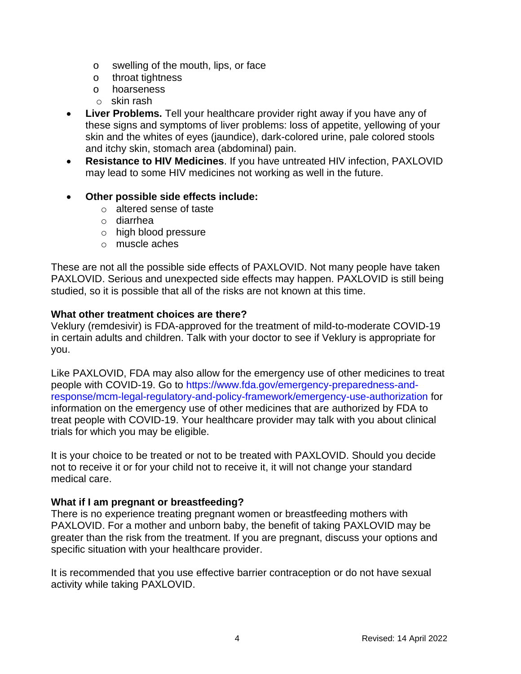- o swelling of the mouth, lips, or face
- o throat tightness
- o hoarseness
- o skin rash
- **Liver Problems.** Tell your healthcare provider right away if you have any of these signs and symptoms of liver problems: loss of appetite, yellowing of your skin and the whites of eyes (jaundice), dark-colored urine, pale colored stools and itchy skin, stomach area (abdominal) pain.
- **Resistance to HIV Medicines**. If you have untreated HIV infection, PAXLOVID may lead to some HIV medicines not working as well in the future.

#### • **Other possible side effects include:**

- o altered sense of taste
- o diarrhea
- o high blood pressure
- o muscle aches

These are not all the possible side effects of PAXLOVID. Not many people have taken PAXLOVID. Serious and unexpected side effects may happen. PAXLOVID is still being studied, so it is possible that all of the risks are not known at this time.

#### **What other treatment choices are there?**

Veklury (remdesivir) is FDA-approved for the treatment of mild-to-moderate COVID-19 in certain adults and children. Talk with your doctor to see if Veklury is appropriate for you.

Like PAXLOVID, FDA may also allow for the emergency use of other medicines to treat people with COVID-19. Go to [https://www.fda.gov/emergency-preparedness-and](https://www.fda.gov/emergency-preparedness-and-response/mcm-legal-regulatory-and-policy-framework/emergency-use-authorization)[response/mcm-legal-regulatory-and-policy-framework/emergency-use-authorization](https://www.fda.gov/emergency-preparedness-and-response/mcm-legal-regulatory-and-policy-framework/emergency-use-authorization) for information on the emergency use of other medicines that are authorized by FDA to treat people with COVID-19. Your healthcare provider may talk with you about clinical trials for which you may be eligible.

It is your choice to be treated or not to be treated with PAXLOVID. Should you decide not to receive it or for your child not to receive it, it will not change your standard medical care.

# **What if I am pregnant or breastfeeding?**

There is no experience treating pregnant women or breastfeeding mothers with PAXLOVID. For a mother and unborn baby, the benefit of taking PAXLOVID may be greater than the risk from the treatment. If you are pregnant, discuss your options and specific situation with your healthcare provider.

It is recommended that you use effective barrier contraception or do not have sexual activity while taking PAXLOVID.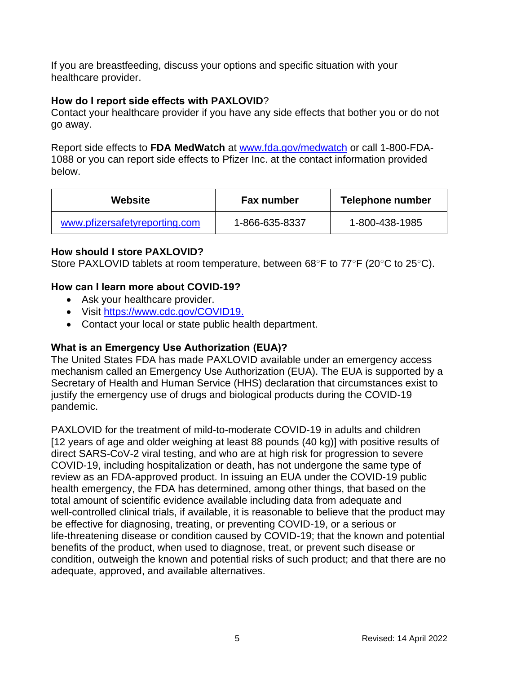If you are breastfeeding, discuss your options and specific situation with your healthcare provider.

### **How do I report side effects with PAXLOVID**?

Contact your healthcare provider if you have any side effects that bother you or do not go away.

Report side effects to **FDA MedWatch** at [www.fda.gov/medwatch](http://www.fda.gov/medwatch) or call 1-800-FDA-1088 or you can report side effects to Pfizer Inc. at the contact information provided below.

| <b>Website</b>                | <b>Fax number</b> | Telephone number |
|-------------------------------|-------------------|------------------|
| www.pfizersafetyreporting.com | 1-866-635-8337    | 1-800-438-1985   |

### **How should I store PAXLOVID?**

Store PAXLOVID tablets at room temperature, between 68○F to 77○F (20○C to 25○C).

# **How can I learn more about COVID-19?**

- Ask your healthcare provider.
- Visit [https://www.cdc.gov/COVID19.](https://www.cdc.gov/COVID19)
- Contact your local or state public health department.

# **What is an Emergency Use Authorization (EUA)?**

The United States FDA has made PAXLOVID available under an emergency access mechanism called an Emergency Use Authorization (EUA). The EUA is supported by a Secretary of Health and Human Service (HHS) declaration that circumstances exist to justify the emergency use of drugs and biological products during the COVID-19 pandemic.

PAXLOVID for the treatment of mild-to-moderate COVID-19 in adults and children [12 years of age and older weighing at least 88 pounds (40 kg)] with positive results of direct SARS-CoV-2 viral testing, and who are at high risk for progression to severe COVID-19, including hospitalization or death, has not undergone the same type of review as an FDA-approved product. In issuing an EUA under the COVID-19 public health emergency, the FDA has determined, among other things, that based on the total amount of scientific evidence available including data from adequate and well-controlled clinical trials, if available, it is reasonable to believe that the product may be effective for diagnosing, treating, or preventing COVID-19, or a serious or life-threatening disease or condition caused by COVID-19; that the known and potential benefits of the product, when used to diagnose, treat, or prevent such disease or condition, outweigh the known and potential risks of such product; and that there are no adequate, approved, and available alternatives.